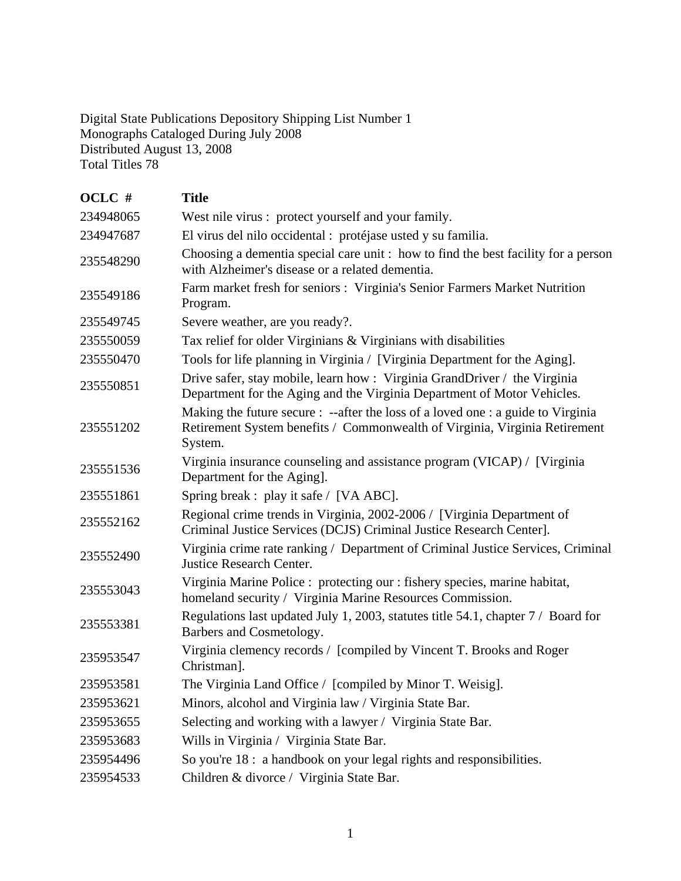Digital State Publications Depository Shipping List Number 1 Monographs Cataloged During July 2008 Distributed August 13, 2008 Total Titles 78

| OCLC #    | <b>Title</b>                                                                                                                                                              |
|-----------|---------------------------------------------------------------------------------------------------------------------------------------------------------------------------|
| 234948065 | West nile virus : protect yourself and your family.                                                                                                                       |
| 234947687 | El virus del nilo occidental : protéjase usted y su familia.                                                                                                              |
| 235548290 | Choosing a dementia special care unit: how to find the best facility for a person<br>with Alzheimer's disease or a related dementia.                                      |
| 235549186 | Farm market fresh for seniors : Virginia's Senior Farmers Market Nutrition<br>Program.                                                                                    |
| 235549745 | Severe weather, are you ready?.                                                                                                                                           |
| 235550059 | Tax relief for older Virginians & Virginians with disabilities                                                                                                            |
| 235550470 | Tools for life planning in Virginia / [Virginia Department for the Aging].                                                                                                |
| 235550851 | Drive safer, stay mobile, learn how: Virginia GrandDriver / the Virginia<br>Department for the Aging and the Virginia Department of Motor Vehicles.                       |
| 235551202 | Making the future secure : --after the loss of a loved one : a guide to Virginia<br>Retirement System benefits / Commonwealth of Virginia, Virginia Retirement<br>System. |
| 235551536 | Virginia insurance counseling and assistance program (VICAP) / [Virginia<br>Department for the Aging].                                                                    |
| 235551861 | Spring break : play it safe / [VA ABC].                                                                                                                                   |
| 235552162 | Regional crime trends in Virginia, 2002-2006 / [Virginia Department of<br>Criminal Justice Services (DCJS) Criminal Justice Research Center].                             |
| 235552490 | Virginia crime rate ranking / Department of Criminal Justice Services, Criminal<br><b>Justice Research Center.</b>                                                        |
| 235553043 | Virginia Marine Police : protecting our : fishery species, marine habitat,<br>homeland security / Virginia Marine Resources Commission.                                   |
| 235553381 | Regulations last updated July 1, 2003, statutes title 54.1, chapter 7 / Board for<br>Barbers and Cosmetology.                                                             |
| 235953547 | Virginia clemency records / [compiled by Vincent T. Brooks and Roger<br>Christman].                                                                                       |
| 235953581 | The Virginia Land Office / [compiled by Minor T. Weisig].                                                                                                                 |
| 235953621 | Minors, alcohol and Virginia law / Virginia State Bar.                                                                                                                    |
| 235953655 | Selecting and working with a lawyer / Virginia State Bar.                                                                                                                 |
| 235953683 | Wills in Virginia / Virginia State Bar.                                                                                                                                   |
| 235954496 | So you're 18 : a handbook on your legal rights and responsibilities.                                                                                                      |
| 235954533 | Children & divorce / Virginia State Bar.                                                                                                                                  |
|           |                                                                                                                                                                           |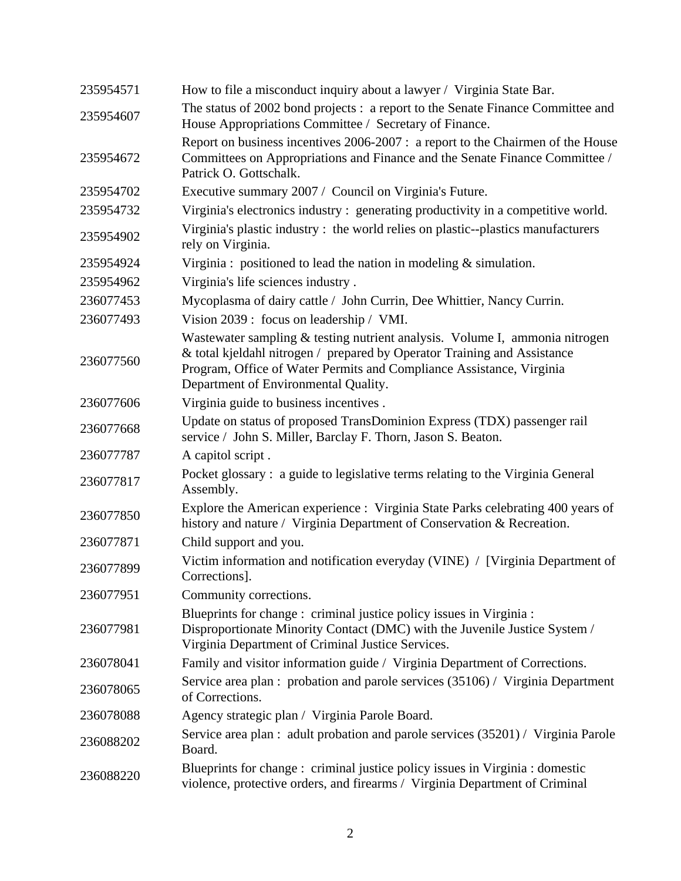| 235954571 | How to file a misconduct inquiry about a lawyer / Virginia State Bar.                                                                                                                                                                                                   |
|-----------|-------------------------------------------------------------------------------------------------------------------------------------------------------------------------------------------------------------------------------------------------------------------------|
| 235954607 | The status of 2002 bond projects : a report to the Senate Finance Committee and<br>House Appropriations Committee / Secretary of Finance.                                                                                                                               |
| 235954672 | Report on business incentives 2006-2007 : a report to the Chairmen of the House<br>Committees on Appropriations and Finance and the Senate Finance Committee /<br>Patrick O. Gottschalk.                                                                                |
| 235954702 | Executive summary 2007 / Council on Virginia's Future.                                                                                                                                                                                                                  |
| 235954732 | Virginia's electronics industry: generating productivity in a competitive world.                                                                                                                                                                                        |
| 235954902 | Virginia's plastic industry : the world relies on plastic--plastics manufacturers<br>rely on Virginia.                                                                                                                                                                  |
| 235954924 | Virginia : positioned to lead the nation in modeling $&$ simulation.                                                                                                                                                                                                    |
| 235954962 | Virginia's life sciences industry.                                                                                                                                                                                                                                      |
| 236077453 | Mycoplasma of dairy cattle / John Currin, Dee Whittier, Nancy Currin.                                                                                                                                                                                                   |
| 236077493 | Vision 2039: focus on leadership / VMI.                                                                                                                                                                                                                                 |
| 236077560 | Wastewater sampling & testing nutrient analysis. Volume I, ammonia nitrogen<br>& total kjeldahl nitrogen / prepared by Operator Training and Assistance<br>Program, Office of Water Permits and Compliance Assistance, Virginia<br>Department of Environmental Quality. |
| 236077606 | Virginia guide to business incentives.                                                                                                                                                                                                                                  |
| 236077668 | Update on status of proposed TransDominion Express (TDX) passenger rail<br>service / John S. Miller, Barclay F. Thorn, Jason S. Beaton.                                                                                                                                 |
| 236077787 | A capitol script.                                                                                                                                                                                                                                                       |
| 236077817 | Pocket glossary: a guide to legislative terms relating to the Virginia General<br>Assembly.                                                                                                                                                                             |
| 236077850 | Explore the American experience : Virginia State Parks celebrating 400 years of<br>history and nature / Virginia Department of Conservation & Recreation.                                                                                                               |
| 236077871 | Child support and you.                                                                                                                                                                                                                                                  |
| 236077899 | Victim information and notification everyday (VINE) / [Virginia Department of<br>Corrections].                                                                                                                                                                          |
| 236077951 | Community corrections.                                                                                                                                                                                                                                                  |
| 236077981 | Blueprints for change : criminal justice policy issues in Virginia :<br>Disproportionate Minority Contact (DMC) with the Juvenile Justice System /<br>Virginia Department of Criminal Justice Services.                                                                 |
| 236078041 | Family and visitor information guide / Virginia Department of Corrections.                                                                                                                                                                                              |
| 236078065 | Service area plan : probation and parole services (35106) / Virginia Department<br>of Corrections.                                                                                                                                                                      |
| 236078088 | Agency strategic plan / Virginia Parole Board.                                                                                                                                                                                                                          |
| 236088202 | Service area plan : adult probation and parole services (35201) / Virginia Parole<br>Board.                                                                                                                                                                             |
| 236088220 | Blueprints for change : criminal justice policy issues in Virginia : domestic<br>violence, protective orders, and firearms / Virginia Department of Criminal                                                                                                            |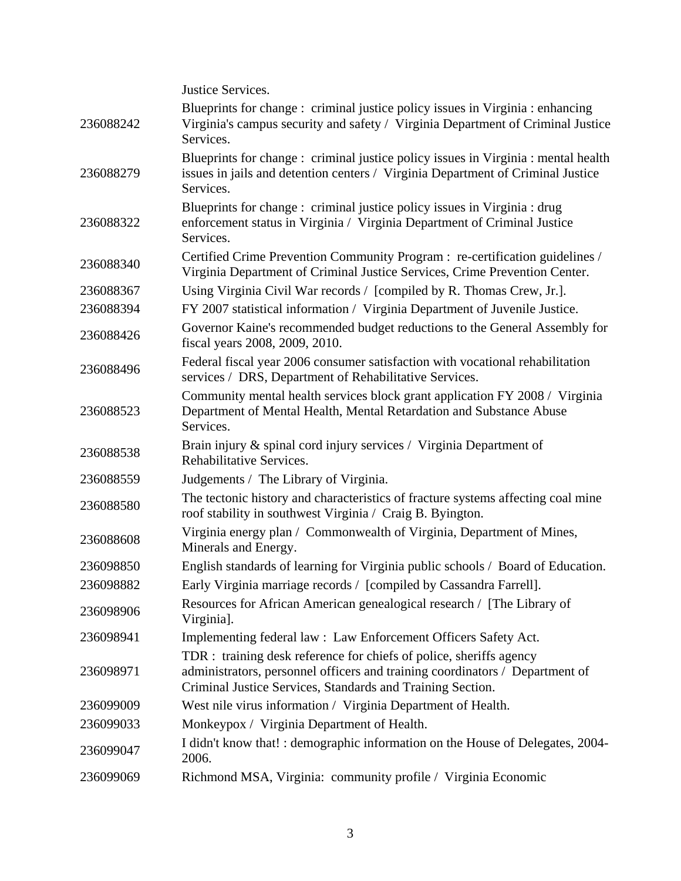Justice Services.

| 236088242 | Blueprints for change: criminal justice policy issues in Virginia: enhancing<br>Virginia's campus security and safety / Virginia Department of Criminal Justice<br>Services.                                      |
|-----------|-------------------------------------------------------------------------------------------------------------------------------------------------------------------------------------------------------------------|
| 236088279 | Blueprints for change: criminal justice policy issues in Virginia : mental health<br>issues in jails and detention centers / Virginia Department of Criminal Justice<br>Services.                                 |
| 236088322 | Blueprints for change : criminal justice policy issues in Virginia : drug<br>enforcement status in Virginia / Virginia Department of Criminal Justice<br>Services.                                                |
| 236088340 | Certified Crime Prevention Community Program : re-certification guidelines /<br>Virginia Department of Criminal Justice Services, Crime Prevention Center.                                                        |
| 236088367 | Using Virginia Civil War records / [compiled by R. Thomas Crew, Jr.].                                                                                                                                             |
| 236088394 | FY 2007 statistical information / Virginia Department of Juvenile Justice.                                                                                                                                        |
| 236088426 | Governor Kaine's recommended budget reductions to the General Assembly for<br>fiscal years 2008, 2009, 2010.                                                                                                      |
| 236088496 | Federal fiscal year 2006 consumer satisfaction with vocational rehabilitation<br>services / DRS, Department of Rehabilitative Services.                                                                           |
| 236088523 | Community mental health services block grant application FY 2008 / Virginia<br>Department of Mental Health, Mental Retardation and Substance Abuse<br>Services.                                                   |
| 236088538 | Brain injury & spinal cord injury services / Virginia Department of<br>Rehabilitative Services.                                                                                                                   |
| 236088559 | Judgements / The Library of Virginia.                                                                                                                                                                             |
| 236088580 | The tectonic history and characteristics of fracture systems affecting coal mine<br>roof stability in southwest Virginia / Craig B. Byington.                                                                     |
| 236088608 | Virginia energy plan / Commonwealth of Virginia, Department of Mines,<br>Minerals and Energy.                                                                                                                     |
| 236098850 | English standards of learning for Virginia public schools / Board of Education.                                                                                                                                   |
| 236098882 | Early Virginia marriage records / [compiled by Cassandra Farrell].                                                                                                                                                |
| 236098906 | Resources for African American genealogical research / [The Library of<br>Virginia].                                                                                                                              |
| 236098941 | Implementing federal law: Law Enforcement Officers Safety Act.                                                                                                                                                    |
| 236098971 | TDR : training desk reference for chiefs of police, sheriffs agency<br>administrators, personnel officers and training coordinators / Department of<br>Criminal Justice Services, Standards and Training Section. |
| 236099009 | West nile virus information / Virginia Department of Health.                                                                                                                                                      |
| 236099033 | Monkeypox / Virginia Department of Health.                                                                                                                                                                        |
| 236099047 | I didn't know that! : demographic information on the House of Delegates, 2004-<br>2006.                                                                                                                           |
| 236099069 | Richmond MSA, Virginia: community profile / Virginia Economic                                                                                                                                                     |
|           |                                                                                                                                                                                                                   |